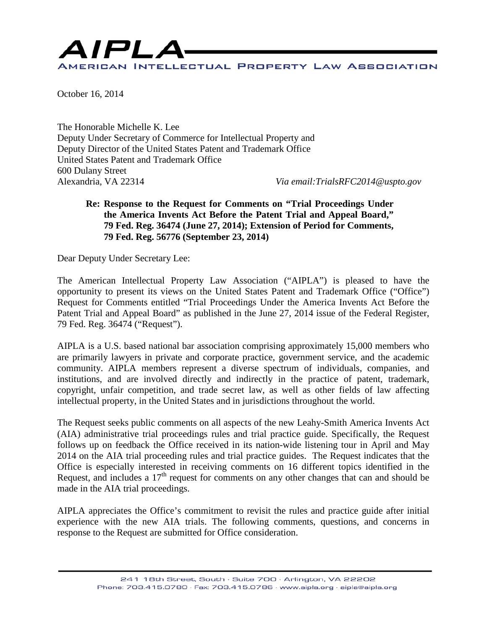

October 16, 2014

The Honorable Michelle K. Lee Deputy Under Secretary of Commerce for Intellectual Property and Deputy Director of the United States Patent and Trademark Office United States Patent and Trademark Office 600 Dulany Street Alexandria, VA 22314 *Via email:TrialsRFC2014@uspto.gov*

#### **Re: Response to the Request for Comments on "Trial Proceedings Under the America Invents Act Before the Patent Trial and Appeal Board," 79 Fed. Reg. 36474 (June 27, 2014); Extension of Period for Comments, 79 Fed. Reg. 56776 (September 23, 2014)**

Dear Deputy Under Secretary Lee:

The American Intellectual Property Law Association ("AIPLA") is pleased to have the opportunity to present its views on the United States Patent and Trademark Office ("Office") Request for Comments entitled "Trial Proceedings Under the America Invents Act Before the Patent Trial and Appeal Board" as published in the June 27, 2014 issue of the Federal Register, 79 Fed. Reg. 36474 ("Request").

AIPLA is a U.S. based national bar association comprising approximately 15,000 members who are primarily lawyers in private and corporate practice, government service, and the academic community. AIPLA members represent a diverse spectrum of individuals, companies, and institutions, and are involved directly and indirectly in the practice of patent, trademark, copyright, unfair competition, and trade secret law, as well as other fields of law affecting intellectual property, in the United States and in jurisdictions throughout the world.

The Request seeks public comments on all aspects of the new Leahy-Smith America Invents Act (AIA) administrative trial proceedings rules and trial practice guide. Specifically, the Request follows up on feedback the Office received in its nation-wide listening tour in April and May 2014 on the AIA trial proceeding rules and trial practice guides. The Request indicates that the Office is especially interested in receiving comments on 16 different topics identified in the Request, and includes a  $17<sup>th</sup>$  request for comments on any other changes that can and should be made in the AIA trial proceedings.

AIPLA appreciates the Office's commitment to revisit the rules and practice guide after initial experience with the new AIA trials. The following comments, questions, and concerns in response to the Request are submitted for Office consideration.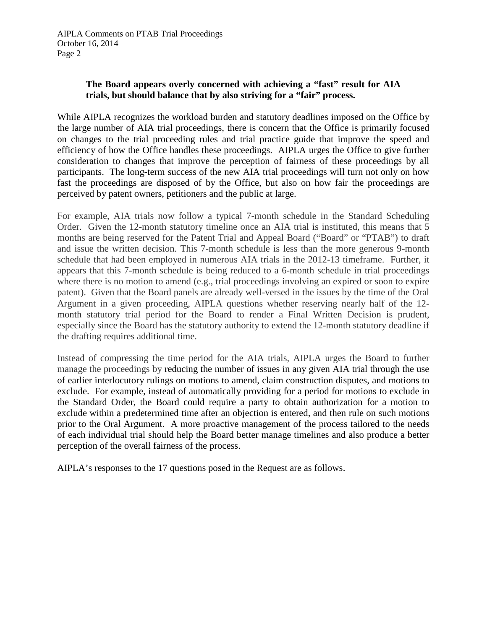## **The Board appears overly concerned with achieving a "fast" result for AIA trials, but should balance that by also striving for a "fair" process.**

While AIPLA recognizes the workload burden and statutory deadlines imposed on the Office by the large number of AIA trial proceedings, there is concern that the Office is primarily focused on changes to the trial proceeding rules and trial practice guide that improve the speed and efficiency of how the Office handles these proceedings. AIPLA urges the Office to give further consideration to changes that improve the perception of fairness of these proceedings by all participants. The long-term success of the new AIA trial proceedings will turn not only on how fast the proceedings are disposed of by the Office, but also on how fair the proceedings are perceived by patent owners, petitioners and the public at large.

For example, AIA trials now follow a typical 7-month schedule in the Standard Scheduling Order. Given the 12-month statutory timeline once an AIA trial is instituted, this means that 5 months are being reserved for the Patent Trial and Appeal Board ("Board" or "PTAB") to draft and issue the written decision. This 7-month schedule is less than the more generous 9-month schedule that had been employed in numerous AIA trials in the 2012-13 timeframe. Further, it appears that this 7-month schedule is being reduced to a 6-month schedule in trial proceedings where there is no motion to amend (e.g., trial proceedings involving an expired or soon to expire patent). Given that the Board panels are already well-versed in the issues by the time of the Oral Argument in a given proceeding, AIPLA questions whether reserving nearly half of the 12 month statutory trial period for the Board to render a Final Written Decision is prudent, especially since the Board has the statutory authority to extend the 12-month statutory deadline if the drafting requires additional time.

Instead of compressing the time period for the AIA trials, AIPLA urges the Board to further manage the proceedings by reducing the number of issues in any given AIA trial through the use of earlier interlocutory rulings on motions to amend, claim construction disputes, and motions to exclude. For example, instead of automatically providing for a period for motions to exclude in the Standard Order, the Board could require a party to obtain authorization for a motion to exclude within a predetermined time after an objection is entered, and then rule on such motions prior to the Oral Argument. A more proactive management of the process tailored to the needs of each individual trial should help the Board better manage timelines and also produce a better perception of the overall fairness of the process.

AIPLA's responses to the 17 questions posed in the Request are as follows.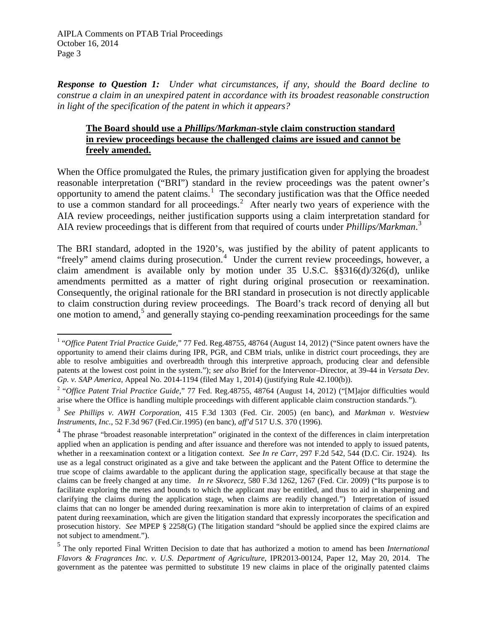*Response to Question 1: Under what circumstances, if any, should the Board decline to construe a claim in an unexpired patent in accordance with its broadest reasonable construction in light of the specification of the patent in which it appears?*

## **The Board should use a** *Phillips/Markman***-style claim construction standard in review proceedings because the challenged claims are issued and cannot be freely amended.**

When the Office promulgated the Rules, the primary justification given for applying the broadest reasonable interpretation ("BRI") standard in the review proceedings was the patent owner's opportunity to amend the patent claims.<sup>[1](#page-2-0)</sup> The secondary justification was that the Office needed to use a common standard for all proceedings.<sup>[2](#page-2-1)</sup> After nearly two years of experience with the AIA review proceedings, neither justification supports using a claim interpretation standard for AIA review proceedings that is different from that required of courts under *Phillips/Markman*. [3](#page-2-2)

The BRI standard, adopted in the 1920's, was justified by the ability of patent applicants to "freely" amend claims during prosecution.<sup>[4](#page-2-3)</sup> Under the current review proceedings, however, a claim amendment is available only by motion under 35 U.S.C. §§316(d)/326(d), unlike amendments permitted as a matter of right during original prosecution or reexamination. Consequently, the original rationale for the BRI standard in prosecution is not directly applicable to claim construction during review proceedings. The Board's track record of denying all but one motion to amend,<sup>[5](#page-2-4)</sup> and generally staying co-pending reexamination proceedings for the same

<span id="page-2-0"></span><sup>1</sup> "*Office Patent Trial Practice Guide*," 77 Fed. Reg.48755, 48764 (August 14, 2012) ("Since patent owners have the opportunity to amend their claims during IPR, PGR, and CBM trials, unlike in district court proceedings, they are able to resolve ambiguities and overbreadth through this interpretive approach, producing clear and defensible patents at the lowest cost point in the system."); *see also* Brief for the Intervenor–Director, at 39-44 in *Versata Dev.* 

<span id="page-2-1"></span>*Gp. v. SAP America*, Appeal No. 2014-1194 (filed May 1, 2014) (justifying Rule 42.100(b)). 2 "*Office Patent Trial Practice Guide*," 77 Fed. Reg.48755, 48764 (August 14, 2012) ("[M]ajor difficulties would arise where the Office is handling multiple proceedings with different applicable claim construction standards.").

<span id="page-2-2"></span><sup>3</sup> *See Phillips v. AWH Corporation*, 415 F.3d 1303 (Fed. Cir. 2005) (en banc), and *Markman v. Westview Instruments, Inc.*, 52 F.3d 967 (Fed.Cir.1995) (en banc), *aff'd* 517 U.S. 370 (1996).

<span id="page-2-3"></span><sup>&</sup>lt;sup>4</sup> The phrase "broadest reasonable interpretation" originated in the context of the differences in claim interpretation applied when an application is pending and after issuance and therefore was not intended to apply to issued patents, whether in a reexamination context or a litigation context. *See In re Carr*, 297 F.2d 542, 544 (D.C. Cir. 1924). Its use as a legal construct originated as a give and take between the applicant and the Patent Office to determine the true scope of claims awardable to the applicant during the application stage, specifically because at that stage the claims can be freely changed at any time. *In re Skvorecz*, 580 F.3d 1262, 1267 (Fed. Cir. 2009) ("Its purpose is to facilitate exploring the metes and bounds to which the applicant may be entitled, and thus to aid in sharpening and clarifying the claims during the application stage, when claims are readily changed.") Interpretation of issued claims that can no longer be amended during reexamination is more akin to interpretation of claims of an expired patent during reexamination, which are given the litigation standard that expressly incorporates the specification and prosecution history. *See* MPEP § 2258(G) (The litigation standard "should be applied since the expired claims are not subject to amendment.").

<span id="page-2-4"></span><sup>5</sup> The only reported Final Written Decision to date that has authorized a motion to amend has been *International Flavors & Fragrances Inc. v. U.S. Department of Agriculture*, IPR2013-00124, Paper 12, May 20, 2014. The government as the patentee was permitted to substitute 19 new claims in place of the originally patented claims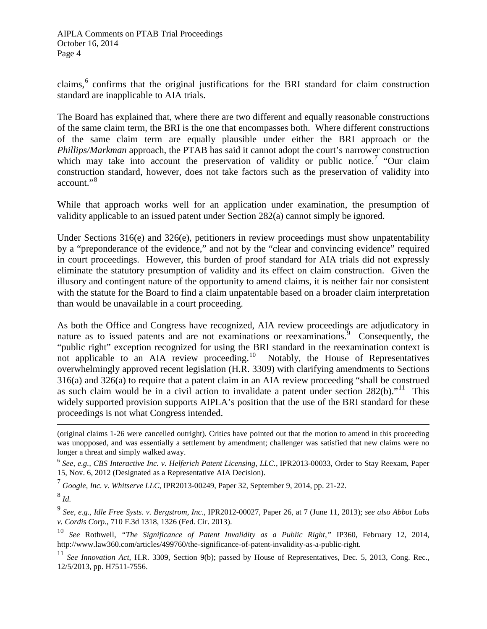claims,<sup>[6](#page-3-0)</sup> confirms that the original justifications for the BRI standard for claim construction standard are inapplicable to AIA trials.

The Board has explained that, where there are two different and equally reasonable constructions of the same claim term, the BRI is the one that encompasses both. Where different constructions of the same claim term are equally plausible under either the BRI approach or the *Phillips/Markman* approach, the PTAB has said it cannot adopt the court's narrower construction which may take into account the preservation of validity or public notice.<sup>[7](#page-3-1)</sup> "Our claim" construction standard, however, does not take factors such as the preservation of validity into account."[8](#page-3-2)

While that approach works well for an application under examination, the presumption of validity applicable to an issued patent under Section 282(a) cannot simply be ignored.

Under Sections 316(e) and 326(e), petitioners in review proceedings must show unpatentability by a "preponderance of the evidence," and not by the "clear and convincing evidence" required in court proceedings. However, this burden of proof standard for AIA trials did not expressly eliminate the statutory presumption of validity and its effect on claim construction. Given the illusory and contingent nature of the opportunity to amend claims, it is neither fair nor consistent with the statute for the Board to find a claim unpatentable based on a broader claim interpretation than would be unavailable in a court proceeding.

As both the Office and Congress have recognized, AIA review proceedings are adjudicatory in nature as to issued patents and are not examinations or reexaminations.<sup>[9](#page-3-3)</sup> Consequently, the "public right" exception recognized for using the BRI standard in the reexamination context is not applicable to an AIA review proceeding.<sup>10</sup> Notably, the House of Representatives overwhelmingly approved recent legislation (H.R. 3309) with clarifying amendments to Sections 316(a) and 326(a) to require that a patent claim in an AIA review proceeding "shall be construed as such claim would be in a civil action to invalidate a patent under section  $282(b)$ ."<sup>[11](#page-3-5)</sup> This widely supported provision supports AIPLA's position that the use of the BRI standard for these proceedings is not what Congress intended.

<span id="page-3-1"></span><sup>7</sup> *Google, Inc. v. Whitserve LLC*, IPR2013-00249, Paper 32, September 9, 2014, pp. 21-22.

<span id="page-3-2"></span><sup>8</sup> *Id.*

l

<span id="page-3-3"></span><sup>9</sup> *See, e.g., Idle Free Systs. v. Bergstrom, Inc.*, IPR2012-00027, Paper 26, at 7 (June 11, 2013); *see also Abbot Labs v. Cordis Corp*., 710 F.3d 1318, 1326 (Fed. Cir. 2013).

<span id="page-3-4"></span><sup>10</sup> *See* Rothwell, *"The Significance of Patent Invalidity as a Public Right,"* IP360, February 12, 2014, http://www.law360.com/articles/499760/the-significance-of-patent-invalidity-as-a-public-right.

<span id="page-3-5"></span><sup>11</sup> *See Innovation Act*, H.R. 3309, Section 9(b); passed by House of Representatives, Dec. 5, 2013, Cong. Rec., 12/5/2013, pp. H7511-7556.

<sup>(</sup>original claims 1-26 were cancelled outright). Critics have pointed out that the motion to amend in this proceeding was unopposed, and was essentially a settlement by amendment; challenger was satisfied that new claims were no longer a threat and simply walked away.

<span id="page-3-0"></span><sup>6</sup> *See, e.g., CBS Interactive Inc. v. Helferich Patent Licensing, LLC.*, IPR2013-00033, Order to Stay Reexam, Paper 15, Nov. 6, 2012 (Designated as a Representative AIA Decision).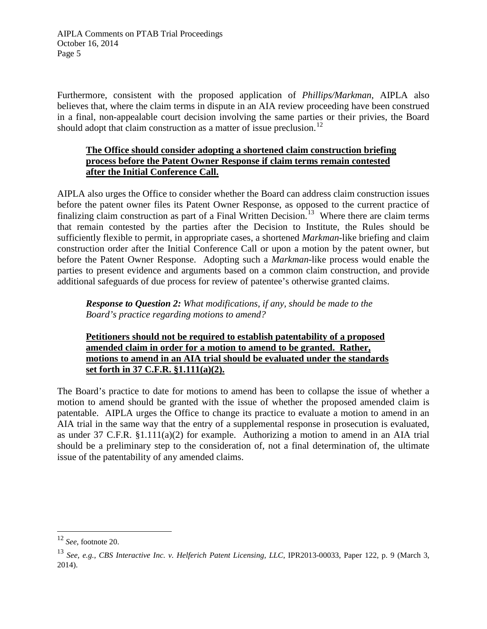Furthermore, consistent with the proposed application of *Phillips/Markman*, AIPLA also believes that, where the claim terms in dispute in an AIA review proceeding have been construed in a final, non-appealable court decision involving the same parties or their privies, the Board should adopt that claim construction as a matter of issue preclusion.<sup>[12](#page-4-0)</sup>

# **The Office should consider adopting a shortened claim construction briefing process before the Patent Owner Response if claim terms remain contested after the Initial Conference Call.**

AIPLA also urges the Office to consider whether the Board can address claim construction issues before the patent owner files its Patent Owner Response, as opposed to the current practice of finalizing claim construction as part of a Final Written Decision.<sup>[13](#page-4-1)</sup> Where there are claim terms that remain contested by the parties after the Decision to Institute, the Rules should be sufficiently flexible to permit, in appropriate cases, a shortened *Markman*-like briefing and claim construction order after the Initial Conference Call or upon a motion by the patent owner, but before the Patent Owner Response. Adopting such a *Markman*-like process would enable the parties to present evidence and arguments based on a common claim construction, and provide additional safeguards of due process for review of patentee's otherwise granted claims.

*Response to Question 2: What modifications, if any, should be made to the Board's practice regarding motions to amend?*

**Petitioners should not be required to establish patentability of a proposed amended claim in order for a motion to amend to be granted. Rather, motions to amend in an AIA trial should be evaluated under the standards set forth in 37 C.F.R. §1.111(a)(2).**

The Board's practice to date for motions to amend has been to collapse the issue of whether a motion to amend should be granted with the issue of whether the proposed amended claim is patentable. AIPLA urges the Office to change its practice to evaluate a motion to amend in an AIA trial in the same way that the entry of a supplemental response in prosecution is evaluated, as under 37 C.F.R. §1.111(a)(2) for example. Authorizing a motion to amend in an AIA trial should be a preliminary step to the consideration of, not a final determination of, the ultimate issue of the patentability of any amended claims.

<span id="page-4-0"></span><sup>12</sup> *See*, footnote 20.

<span id="page-4-1"></span><sup>13</sup> *See, e.g., CBS Interactive Inc. v. Helferich Patent Licensing, LLC*, IPR2013-00033, Paper 122, p. 9 (March 3, 2014).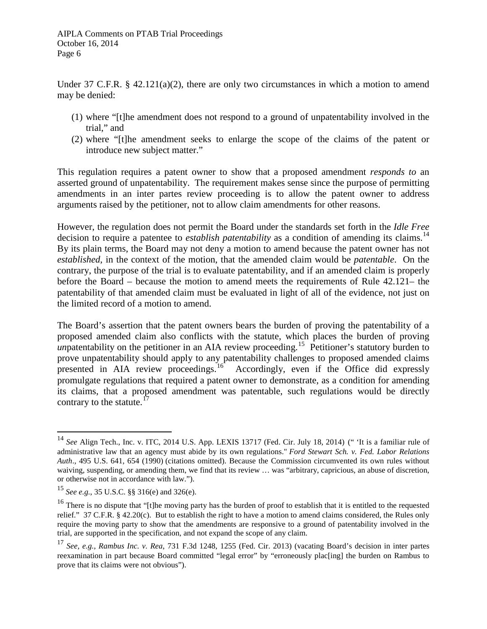Under 37 C.F.R. § 42.121(a)(2), there are only two circumstances in which a motion to amend may be denied:

- (1) where "[t]he amendment does not respond to a ground of unpatentability involved in the trial," and
- (2) where "[t]he amendment seeks to enlarge the scope of the claims of the patent or introduce new subject matter."

This regulation requires a patent owner to show that a proposed amendment *responds to* an asserted ground of unpatentability. The requirement makes sense since the purpose of permitting amendments in an inter partes review proceeding is to allow the patent owner to address arguments raised by the petitioner, not to allow claim amendments for other reasons.

However, the regulation does not permit the Board under the standards set forth in the *Idle Free* decision to require a patentee to *establish patentability* as a condition of amending its claims.<sup>[14](#page-5-0)</sup> By its plain terms, the Board may not deny a motion to amend because the patent owner has not *established*, in the context of the motion, that the amended claim would be *patentable*. On the contrary, the purpose of the trial is to evaluate patentability, and if an amended claim is properly before the Board – because the motion to amend meets the requirements of Rule 42.121– the patentability of that amended claim must be evaluated in light of all of the evidence, not just on the limited record of a motion to amend.

The Board's assertion that the patent owners bears the burden of proving the patentability of a proposed amended claim also conflicts with the statute, which places the burden of proving *un*patentability on the petitioner in an AIA review proceeding.<sup>[15](#page-5-1)</sup> Petitioner's statutory burden to prove unpatentability should apply to any patentability challenges to proposed amended claims presented in AIA review proceedings.<sup>[16](#page-5-2)</sup> Accordingly, even if the Office did expressly promulgate regulations that required a patent owner to demonstrate, as a condition for amending its claims, that a proposed amendment was patentable, such regulations would be directly contrary to the statute. $17$ 

<span id="page-5-0"></span><sup>14</sup> *See* Align Tech., Inc. v. ITC, 2014 U.S. App. LEXIS 13717 (Fed. Cir. July 18, 2014) (" 'It is a familiar rule of administrative law that an agency must abide by its own regulations." *Ford Stewart Sch. v. Fed. Labor Relations Auth*., 495 U.S. 641, 654 (1990) (citations omitted). Because the Commission circumvented its own rules without waiving, suspending, or amending them, we find that its review … was "arbitrary, capricious, an abuse of discretion, or otherwise not in accordance with law.").

<span id="page-5-1"></span><sup>15</sup> *See e.g.*, 35 U.S.C. §§ 316(e) and 326(e).

<span id="page-5-2"></span><sup>&</sup>lt;sup>16</sup> There is no dispute that "[t]he moving party has the burden of proof to establish that it is entitled to the requested relief." 37 C.F.R. § 42.20(c). But to establish the right to have a motion to amend claims considered, the Rules only require the moving party to show that the amendments are responsive to a ground of patentability involved in the trial, are supported in the specification, and not expand the scope of any claim.

<span id="page-5-3"></span><sup>17</sup> *See, e.g., Rambus Inc. v. Rea*, 731 F.3d 1248, 1255 (Fed. Cir. 2013) (vacating Board's decision in inter partes reexamination in part because Board committed "legal error" by "erroneously plac[ing] the burden on Rambus to prove that its claims were not obvious").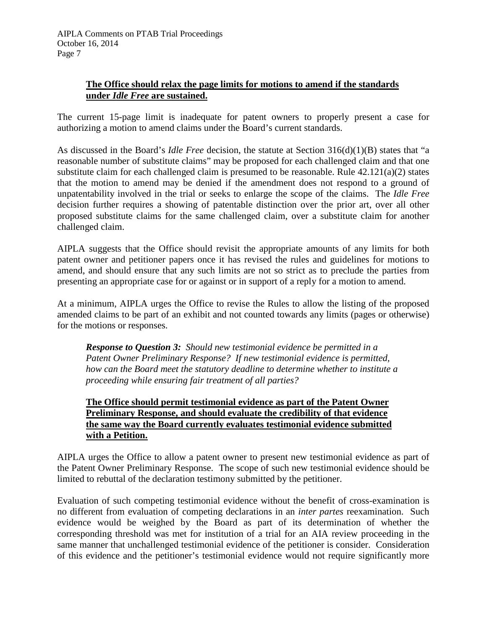## **The Office should relax the page limits for motions to amend if the standards under** *Idle Free* **are sustained.**

The current 15-page limit is inadequate for patent owners to properly present a case for authorizing a motion to amend claims under the Board's current standards.

As discussed in the Board's *Idle Free* decision, the statute at Section 316(d)(1)(B) states that "a reasonable number of substitute claims" may be proposed for each challenged claim and that one substitute claim for each challenged claim is presumed to be reasonable. Rule 42.121(a)(2) states that the motion to amend may be denied if the amendment does not respond to a ground of unpatentability involved in the trial or seeks to enlarge the scope of the claims. The *Idle Free* decision further requires a showing of patentable distinction over the prior art, over all other proposed substitute claims for the same challenged claim, over a substitute claim for another challenged claim.

AIPLA suggests that the Office should revisit the appropriate amounts of any limits for both patent owner and petitioner papers once it has revised the rules and guidelines for motions to amend, and should ensure that any such limits are not so strict as to preclude the parties from presenting an appropriate case for or against or in support of a reply for a motion to amend.

At a minimum, AIPLA urges the Office to revise the Rules to allow the listing of the proposed amended claims to be part of an exhibit and not counted towards any limits (pages or otherwise) for the motions or responses.

*Response to Question 3: Should new testimonial evidence be permitted in a Patent Owner Preliminary Response? If new testimonial evidence is permitted, how can the Board meet the statutory deadline to determine whether to institute a proceeding while ensuring fair treatment of all parties?*

## **The Office should permit testimonial evidence as part of the Patent Owner Preliminary Response, and should evaluate the credibility of that evidence the same way the Board currently evaluates testimonial evidence submitted with a Petition.**

AIPLA urges the Office to allow a patent owner to present new testimonial evidence as part of the Patent Owner Preliminary Response. The scope of such new testimonial evidence should be limited to rebuttal of the declaration testimony submitted by the petitioner.

Evaluation of such competing testimonial evidence without the benefit of cross-examination is no different from evaluation of competing declarations in an *inter partes* reexamination. Such evidence would be weighed by the Board as part of its determination of whether the corresponding threshold was met for institution of a trial for an AIA review proceeding in the same manner that unchallenged testimonial evidence of the petitioner is consider. Consideration of this evidence and the petitioner's testimonial evidence would not require significantly more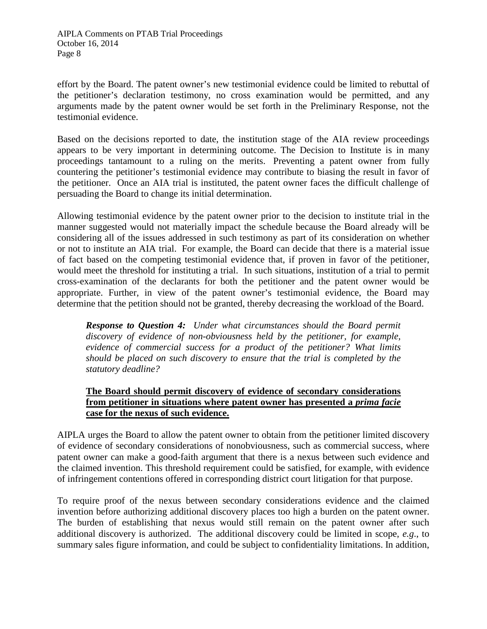effort by the Board. The patent owner's new testimonial evidence could be limited to rebuttal of the petitioner's declaration testimony, no cross examination would be permitted, and any arguments made by the patent owner would be set forth in the Preliminary Response, not the testimonial evidence.

Based on the decisions reported to date, the institution stage of the AIA review proceedings appears to be very important in determining outcome. The Decision to Institute is in many proceedings tantamount to a ruling on the merits. Preventing a patent owner from fully countering the petitioner's testimonial evidence may contribute to biasing the result in favor of the petitioner. Once an AIA trial is instituted, the patent owner faces the difficult challenge of persuading the Board to change its initial determination.

Allowing testimonial evidence by the patent owner prior to the decision to institute trial in the manner suggested would not materially impact the schedule because the Board already will be considering all of the issues addressed in such testimony as part of its consideration on whether or not to institute an AIA trial. For example, the Board can decide that there is a material issue of fact based on the competing testimonial evidence that, if proven in favor of the petitioner, would meet the threshold for instituting a trial. In such situations, institution of a trial to permit cross-examination of the declarants for both the petitioner and the patent owner would be appropriate. Further, in view of the patent owner's testimonial evidence, the Board may determine that the petition should not be granted, thereby decreasing the workload of the Board.

*Response to Question 4: Under what circumstances should the Board permit discovery of evidence of non-obviousness held by the petitioner, for example, evidence of commercial success for a product of the petitioner? What limits should be placed on such discovery to ensure that the trial is completed by the statutory deadline?*

## **The Board should permit discovery of evidence of secondary considerations from petitioner in situations where patent owner has presented a** *prima facie*  **case for the nexus of such evidence.**

AIPLA urges the Board to allow the patent owner to obtain from the petitioner limited discovery of evidence of secondary considerations of nonobviousness, such as commercial success, where patent owner can make a good-faith argument that there is a nexus between such evidence and the claimed invention. This threshold requirement could be satisfied, for example, with evidence of infringement contentions offered in corresponding district court litigation for that purpose.

To require proof of the nexus between secondary considerations evidence and the claimed invention before authorizing additional discovery places too high a burden on the patent owner. The burden of establishing that nexus would still remain on the patent owner after such additional discovery is authorized. The additional discovery could be limited in scope, *e.g*., to summary sales figure information, and could be subject to confidentiality limitations. In addition,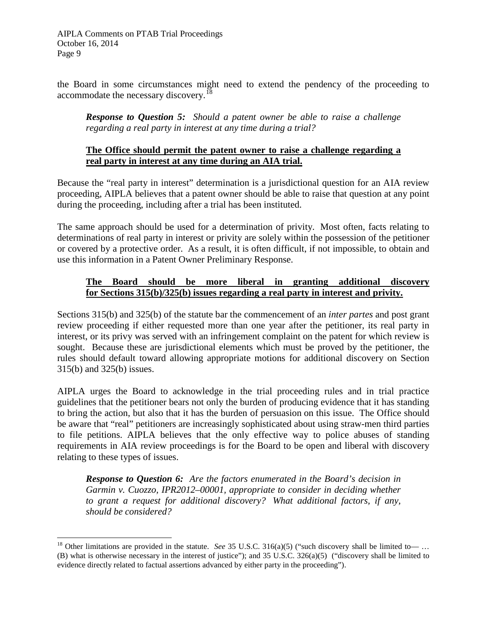the Board in some circumstances might need to extend the pendency of the proceeding to accommodate the necessary discovery.<sup>[18](#page-8-0)</sup>

*Response to Question 5: Should a patent owner be able to raise a challenge regarding a real party in interest at any time during a trial?*

#### **The Office should permit the patent owner to raise a challenge regarding a real party in interest at any time during an AIA trial.**

Because the "real party in interest" determination is a jurisdictional question for an AIA review proceeding, AIPLA believes that a patent owner should be able to raise that question at any point during the proceeding, including after a trial has been instituted.

The same approach should be used for a determination of privity. Most often, facts relating to determinations of real party in interest or privity are solely within the possession of the petitioner or covered by a protective order. As a result, it is often difficult, if not impossible, to obtain and use this information in a Patent Owner Preliminary Response.

## **The Board should be more liberal in granting additional discovery for Sections 315(b)/325(b) issues regarding a real party in interest and privity.**

Sections 315(b) and 325(b) of the statute bar the commencement of an *inter partes* and post grant review proceeding if either requested more than one year after the petitioner, its real party in interest, or its privy was served with an infringement complaint on the patent for which review is sought. Because these are jurisdictional elements which must be proved by the petitioner, the rules should default toward allowing appropriate motions for additional discovery on Section 315(b) and 325(b) issues.

AIPLA urges the Board to acknowledge in the trial proceeding rules and in trial practice guidelines that the petitioner bears not only the burden of producing evidence that it has standing to bring the action, but also that it has the burden of persuasion on this issue. The Office should be aware that "real" petitioners are increasingly sophisticated about using straw-men third parties to file petitions. AIPLA believes that the only effective way to police abuses of standing requirements in AIA review proceedings is for the Board to be open and liberal with discovery relating to these types of issues.

*Response to Question 6: Are the factors enumerated in the Board's decision in Garmin v. Cuozzo, IPR2012–00001, appropriate to consider in deciding whether to grant a request for additional discovery? What additional factors, if any, should be considered?*

<span id="page-8-0"></span><sup>&</sup>lt;sup>18</sup> Other limitations are provided in the statute. *See* 35 U.S.C. 316(a)(5) ("such discovery shall be limited to- $\ldots$ (B) what is otherwise necessary in the interest of justice"); and 35 U.S.C. 326(a)(5) ("discovery shall be limited to evidence directly related to factual assertions advanced by either party in the proceeding").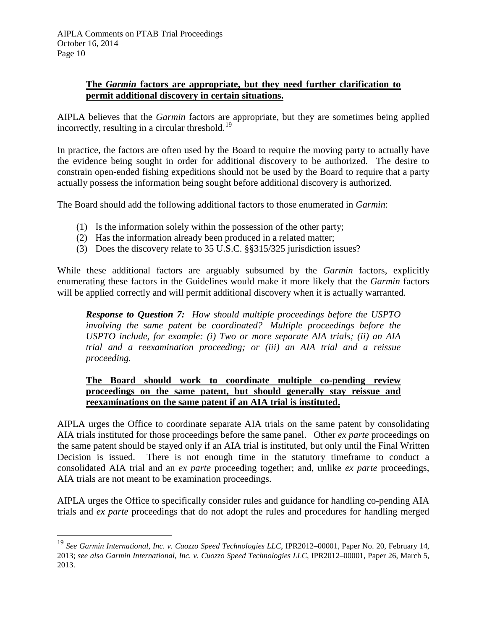#### **The** *Garmin* **factors are appropriate, but they need further clarification to permit additional discovery in certain situations.**

AIPLA believes that the *Garmin* factors are appropriate, but they are sometimes being applied incorrectly, resulting in a circular threshold.<sup>[19](#page-9-0)</sup>

In practice, the factors are often used by the Board to require the moving party to actually have the evidence being sought in order for additional discovery to be authorized. The desire to constrain open-ended fishing expeditions should not be used by the Board to require that a party actually possess the information being sought before additional discovery is authorized.

The Board should add the following additional factors to those enumerated in *Garmin*:

- (1) Is the information solely within the possession of the other party;
- (2) Has the information already been produced in a related matter;
- (3) Does the discovery relate to 35 U.S.C. §§315/325 jurisdiction issues?

While these additional factors are arguably subsumed by the *Garmin* factors, explicitly enumerating these factors in the Guidelines would make it more likely that the *Garmin* factors will be applied correctly and will permit additional discovery when it is actually warranted.

*Response to Question 7: How should multiple proceedings before the USPTO involving the same patent be coordinated? Multiple proceedings before the USPTO include, for example: (i) Two or more separate AIA trials; (ii) an AIA trial and a reexamination proceeding; or (iii) an AIA trial and a reissue proceeding.*

#### **The Board should work to coordinate multiple co-pending review proceedings on the same patent, but should generally stay reissue and reexaminations on the same patent if an AIA trial is instituted.**

AIPLA urges the Office to coordinate separate AIA trials on the same patent by consolidating AIA trials instituted for those proceedings before the same panel. Other *ex parte* proceedings on the same patent should be stayed only if an AIA trial is instituted, but only until the Final Written Decision is issued. There is not enough time in the statutory timeframe to conduct a consolidated AIA trial and an *ex parte* proceeding together; and, unlike *ex parte* proceedings, AIA trials are not meant to be examination proceedings.

AIPLA urges the Office to specifically consider rules and guidance for handling co-pending AIA trials and *ex parte* proceedings that do not adopt the rules and procedures for handling merged

<span id="page-9-0"></span><sup>19</sup> *See Garmin International, Inc. v. Cuozzo Speed Technologies LLC*, IPR2012–00001, Paper No. 20, February 14, 2013; *see also Garmin International, Inc. v. Cuozzo Speed Technologies LLC*, IPR2012–00001, Paper 26, March 5, 2013.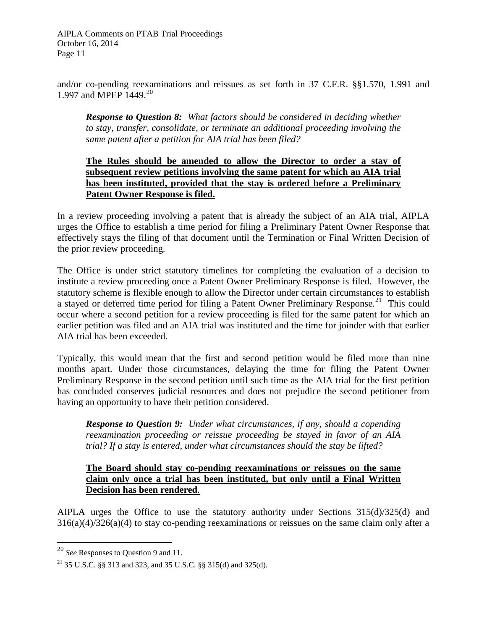and/or co-pending reexaminations and reissues as set forth in 37 C.F.R. §§1.570, 1.991 and 1.997 and MPEP 1449.<sup>[20](#page-10-0)</sup>

*Response to Question 8: What factors should be considered in deciding whether to stay, transfer, consolidate, or terminate an additional proceeding involving the same patent after a petition for AIA trial has been filed?*

#### **The Rules should be amended to allow the Director to order a stay of subsequent review petitions involving the same patent for which an AIA trial has been instituted, provided that the stay is ordered before a Preliminary Patent Owner Response is filed.**

In a review proceeding involving a patent that is already the subject of an AIA trial, AIPLA urges the Office to establish a time period for filing a Preliminary Patent Owner Response that effectively stays the filing of that document until the Termination or Final Written Decision of the prior review proceeding.

The Office is under strict statutory timelines for completing the evaluation of a decision to institute a review proceeding once a Patent Owner Preliminary Response is filed. However, the statutory scheme is flexible enough to allow the Director under certain circumstances to establish a stayed or deferred time period for filing a Patent Owner Preliminary Response.<sup>[21](#page-10-1)</sup> This could occur where a second petition for a review proceeding is filed for the same patent for which an earlier petition was filed and an AIA trial was instituted and the time for joinder with that earlier AIA trial has been exceeded.

Typically, this would mean that the first and second petition would be filed more than nine months apart. Under those circumstances, delaying the time for filing the Patent Owner Preliminary Response in the second petition until such time as the AIA trial for the first petition has concluded conserves judicial resources and does not prejudice the second petitioner from having an opportunity to have their petition considered.

*Response to Question 9: Under what circumstances, if any, should a copending reexamination proceeding or reissue proceeding be stayed in favor of an AIA trial? If a stay is entered, under what circumstances should the stay be lifted?*

#### **The Board should stay co-pending reexaminations or reissues on the same claim only once a trial has been instituted, but only until a Final Written Decision has been rendered**.

AIPLA urges the Office to use the statutory authority under Sections 315(d)/325(d) and 316(a)(4)/326(a)(4) to stay co-pending reexaminations or reissues on the same claim only after a

<span id="page-10-0"></span><sup>20</sup> *See* Responses to Question 9 and 11.

<span id="page-10-1"></span><sup>&</sup>lt;sup>21</sup> 35 U.S.C. §§ 313 and 323, and 35 U.S.C. §§ 315(d) and 325(d).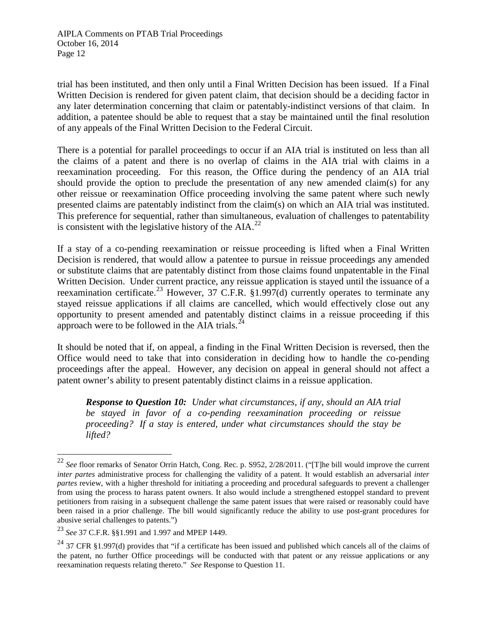trial has been instituted, and then only until a Final Written Decision has been issued. If a Final Written Decision is rendered for given patent claim, that decision should be a deciding factor in any later determination concerning that claim or patentably-indistinct versions of that claim. In addition, a patentee should be able to request that a stay be maintained until the final resolution of any appeals of the Final Written Decision to the Federal Circuit.

There is a potential for parallel proceedings to occur if an AIA trial is instituted on less than all the claims of a patent and there is no overlap of claims in the AIA trial with claims in a reexamination proceeding. For this reason, the Office during the pendency of an AIA trial should provide the option to preclude the presentation of any new amended claim(s) for any other reissue or reexamination Office proceeding involving the same patent where such newly presented claims are patentably indistinct from the claim(s) on which an AIA trial was instituted. This preference for sequential, rather than simultaneous, evaluation of challenges to patentability is consistent with the legislative history of the  $AIA.<sup>22</sup>$  $AIA.<sup>22</sup>$  $AIA.<sup>22</sup>$ 

If a stay of a co-pending reexamination or reissue proceeding is lifted when a Final Written Decision is rendered, that would allow a patentee to pursue in reissue proceedings any amended or substitute claims that are patentably distinct from those claims found unpatentable in the Final Written Decision. Under current practice, any reissue application is stayed until the issuance of a reexamination certificate.<sup>[23](#page-11-1)</sup> However, 37 C.F.R. §1.997(d) currently operates to terminate any stayed reissue applications if all claims are cancelled, which would effectively close out any opportunity to present amended and patentably distinct claims in a reissue proceeding if this approach were to be followed in the AIA trials.<sup>24</sup>

It should be noted that if, on appeal, a finding in the Final Written Decision is reversed, then the Office would need to take that into consideration in deciding how to handle the co-pending proceedings after the appeal. However, any decision on appeal in general should not affect a patent owner's ability to present patentably distinct claims in a reissue application.

*Response to Question 10: Under what circumstances, if any, should an AIA trial be stayed in favor of a co-pending reexamination proceeding or reissue proceeding? If a stay is entered, under what circumstances should the stay be lifted?*

<span id="page-11-0"></span><sup>22</sup> *See* floor remarks of Senator Orrin Hatch, Cong. Rec. p. S952, 2/28/2011. ("[T]he bill would improve the current *inter partes* administrative process for challenging the validity of a patent. It would establish an adversarial *inter partes* review, with a higher threshold for initiating a proceeding and procedural safeguards to prevent a challenger from using the process to harass patent owners. It also would include a strengthened estoppel standard to prevent petitioners from raising in a subsequent challenge the same patent issues that were raised or reasonably could have been raised in a prior challenge. The bill would significantly reduce the ability to use post-grant procedures for abusive serial challenges to patents.")

<span id="page-11-1"></span><sup>23</sup> *See* 37 C.F.R. §§1.991 and 1.997 and MPEP 1449.

<span id="page-11-2"></span> $^{24}$  37 CFR §1.997(d) provides that "if a certificate has been issued and published which cancels all of the claims of the patent, no further Office proceedings will be conducted with that patent or any reissue applications or any reexamination requests relating thereto." *See* Response to Question 11.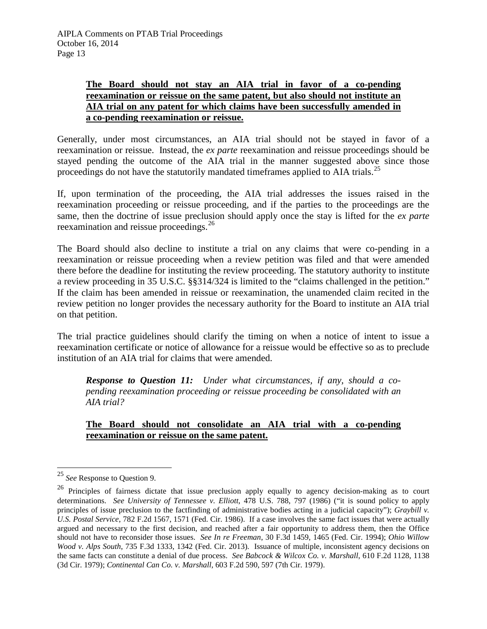#### **The Board should not stay an AIA trial in favor of a co-pending reexamination or reissue on the same patent, but also should not institute an AIA trial on any patent for which claims have been successfully amended in a co-pending reexamination or reissue.**

Generally, under most circumstances, an AIA trial should not be stayed in favor of a reexamination or reissue. Instead, the *ex parte* reexamination and reissue proceedings should be stayed pending the outcome of the AIA trial in the manner suggested above since those proceedings do not have the statutorily mandated timeframes applied to AIA trials.<sup>[25](#page-12-0)</sup>

If, upon termination of the proceeding, the AIA trial addresses the issues raised in the reexamination proceeding or reissue proceeding, and if the parties to the proceedings are the same, then the doctrine of issue preclusion should apply once the stay is lifted for the *ex parte*  reexamination and reissue proceedings.<sup>[26](#page-12-1)</sup>

The Board should also decline to institute a trial on any claims that were co-pending in a reexamination or reissue proceeding when a review petition was filed and that were amended there before the deadline for instituting the review proceeding. The statutory authority to institute a review proceeding in 35 U.S.C. §§314/324 is limited to the "claims challenged in the petition." If the claim has been amended in reissue or reexamination, the unamended claim recited in the review petition no longer provides the necessary authority for the Board to institute an AIA trial on that petition.

The trial practice guidelines should clarify the timing on when a notice of intent to issue a reexamination certificate or notice of allowance for a reissue would be effective so as to preclude institution of an AIA trial for claims that were amended.

*Response to Question 11: Under what circumstances, if any, should a copending reexamination proceeding or reissue proceeding be consolidated with an AIA trial?*

**The Board should not consolidate an AIA trial with a co-pending reexamination or reissue on the same patent.**

<span id="page-12-0"></span><sup>25</sup> *See* Response to Question 9.

<span id="page-12-1"></span><sup>&</sup>lt;sup>26</sup> Principles of fairness dictate that issue preclusion apply equally to agency decision-making as to court determinations. *See University of Tennessee v. Elliott*, 478 U.S. 788, 797 (1986) ("it is sound policy to apply principles of issue preclusion to the factfinding of administrative bodies acting in a judicial capacity"); *Graybill v. U.S. Postal Service*, 782 F.2d 1567, 1571 (Fed. Cir. 1986). If a case involves the same fact issues that were actually argued and necessary to the first decision, and reached after a fair opportunity to address them, then the Office should not have to reconsider those issues. *See In re Freeman*, 30 F.3d 1459, 1465 (Fed. Cir. 1994); *Ohio Willow Wood v. Alps South*, 735 F.3d 1333, 1342 (Fed. Cir. 2013). Issuance of multiple, inconsistent agency decisions on the same facts can constitute a denial of due process. *See Babcock & Wilcox Co. v. Marshall*, 610 F.2d 1128, 1138 (3d Cir. 1979); *Continental Can Co. v. Marshall*, 603 F.2d 590, 597 (7th Cir. 1979).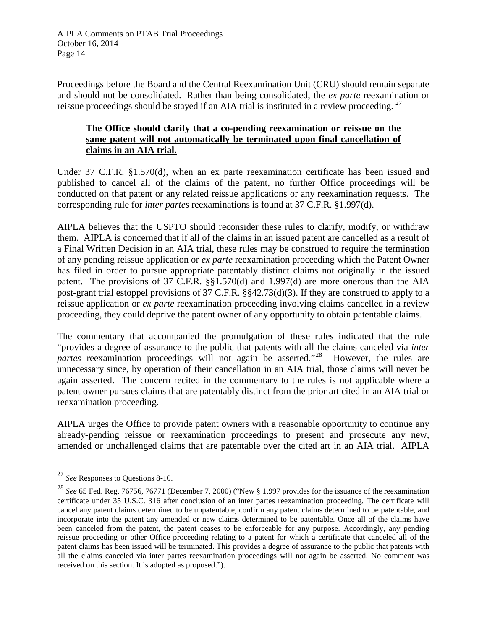Proceedings before the Board and the Central Reexamination Unit (CRU) should remain separate and should not be consolidated. Rather than being consolidated, the *ex parte* reexamination or reissue proceedings should be stayed if an AIA trial is instituted in a review proceeding.<sup>[27](#page-13-0)</sup>

## **The Office should clarify that a co-pending reexamination or reissue on the same patent will not automatically be terminated upon final cancellation of claims in an AIA trial.**

Under 37 C.F.R. §1.570(d), when an ex parte reexamination certificate has been issued and published to cancel all of the claims of the patent, no further Office proceedings will be conducted on that patent or any related reissue applications or any reexamination requests. The corresponding rule for *inter partes* reexaminations is found at 37 C.F.R. §1.997(d).

AIPLA believes that the USPTO should reconsider these rules to clarify, modify, or withdraw them. AIPLA is concerned that if all of the claims in an issued patent are cancelled as a result of a Final Written Decision in an AIA trial, these rules may be construed to require the termination of any pending reissue application or *ex parte* reexamination proceeding which the Patent Owner has filed in order to pursue appropriate patentably distinct claims not originally in the issued patent. The provisions of 37 C.F.R. §§1.570(d) and 1.997(d) are more onerous than the AIA post-grant trial estoppel provisions of 37 C.F.R. §§42.73(d)(3). If they are construed to apply to a reissue application or *ex parte* reexamination proceeding involving claims cancelled in a review proceeding, they could deprive the patent owner of any opportunity to obtain patentable claims.

The commentary that accompanied the promulgation of these rules indicated that the rule "provides a degree of assurance to the public that patents with all the claims canceled via *inter partes* reexamination proceedings will not again be asserted."<sup>[28](#page-13-1)</sup> However, the rules are unnecessary since, by operation of their cancellation in an AIA trial, those claims will never be again asserted. The concern recited in the commentary to the rules is not applicable where a patent owner pursues claims that are patentably distinct from the prior art cited in an AIA trial or reexamination proceeding.

AIPLA urges the Office to provide patent owners with a reasonable opportunity to continue any already-pending reissue or reexamination proceedings to present and prosecute any new, amended or unchallenged claims that are patentable over the cited art in an AIA trial. AIPLA

<span id="page-13-0"></span><sup>27</sup> *See* Responses to Questions 8-10.

<span id="page-13-1"></span><sup>28</sup> *See* 65 Fed. Reg. 76756, 76771 (December 7, 2000) ("New § 1.997 provides for the issuance of the reexamination certificate under 35 U.S.C. 316 after conclusion of an inter partes reexamination proceeding. The certificate will cancel any patent claims determined to be unpatentable, confirm any patent claims determined to be patentable, and incorporate into the patent any amended or new claims determined to be patentable. Once all of the claims have been canceled from the patent, the patent ceases to be enforceable for any purpose. Accordingly, any pending reissue proceeding or other Office proceeding relating to a patent for which a certificate that canceled all of the patent claims has been issued will be terminated. This provides a degree of assurance to the public that patents with all the claims canceled via inter partes reexamination proceedings will not again be asserted. No comment was received on this section. It is adopted as proposed.").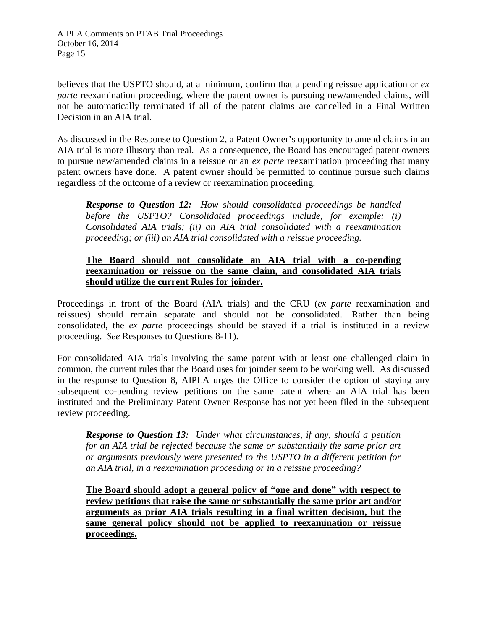believes that the USPTO should, at a minimum, confirm that a pending reissue application or *ex parte* reexamination proceeding, where the patent owner is pursuing new/amended claims, will not be automatically terminated if all of the patent claims are cancelled in a Final Written Decision in an AIA trial.

As discussed in the Response to Question 2, a Patent Owner's opportunity to amend claims in an AIA trial is more illusory than real. As a consequence, the Board has encouraged patent owners to pursue new/amended claims in a reissue or an *ex parte* reexamination proceeding that many patent owners have done. A patent owner should be permitted to continue pursue such claims regardless of the outcome of a review or reexamination proceeding.

*Response to Question 12: How should consolidated proceedings be handled before the USPTO? Consolidated proceedings include, for example: (i) Consolidated AIA trials; (ii) an AIA trial consolidated with a reexamination proceeding; or (iii) an AIA trial consolidated with a reissue proceeding.*

#### **The Board should not consolidate an AIA trial with a co-pending reexamination or reissue on the same claim, and consolidated AIA trials should utilize the current Rules for joinder.**

Proceedings in front of the Board (AIA trials) and the CRU (*ex parte* reexamination and reissues) should remain separate and should not be consolidated. Rather than being consolidated, the *ex parte* proceedings should be stayed if a trial is instituted in a review proceeding. *See* Responses to Questions 8-11).

For consolidated AIA trials involving the same patent with at least one challenged claim in common, the current rules that the Board uses for joinder seem to be working well. As discussed in the response to Question 8, AIPLA urges the Office to consider the option of staying any subsequent co-pending review petitions on the same patent where an AIA trial has been instituted and the Preliminary Patent Owner Response has not yet been filed in the subsequent review proceeding.

*Response to Question 13: Under what circumstances, if any, should a petition for an AIA trial be rejected because the same or substantially the same prior art or arguments previously were presented to the USPTO in a different petition for an AIA trial, in a reexamination proceeding or in a reissue proceeding?*

**The Board should adopt a general policy of "one and done" with respect to review petitions that raise the same or substantially the same prior art and/or arguments as prior AIA trials resulting in a final written decision, but the same general policy should not be applied to reexamination or reissue proceedings.**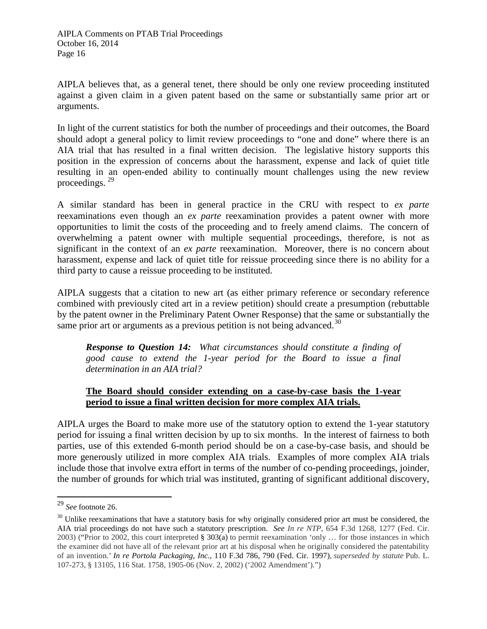AIPLA believes that, as a general tenet, there should be only one review proceeding instituted against a given claim in a given patent based on the same or substantially same prior art or arguments.

In light of the current statistics for both the number of proceedings and their outcomes, the Board should adopt a general policy to limit review proceedings to "one and done" where there is an AIA trial that has resulted in a final written decision. The legislative history supports this position in the expression of concerns about the harassment, expense and lack of quiet title resulting in an open-ended ability to continually mount challenges using the new review proceedings. [29](#page-15-0) 

A similar standard has been in general practice in the CRU with respect to *ex parte*  reexaminations even though an *ex parte* reexamination provides a patent owner with more opportunities to limit the costs of the proceeding and to freely amend claims. The concern of overwhelming a patent owner with multiple sequential proceedings, therefore, is not as significant in the context of an *ex parte* reexamination. Moreover, there is no concern about harassment, expense and lack of quiet title for reissue proceeding since there is no ability for a third party to cause a reissue proceeding to be instituted.

AIPLA suggests that a citation to new art (as either primary reference or secondary reference combined with previously cited art in a review petition) should create a presumption (rebuttable by the patent owner in the Preliminary Patent Owner Response) that the same or substantially the same prior art or arguments as a previous petition is not being advanced.<sup>[30](#page-15-1)</sup>

*Response to Question 14: What circumstances should constitute a finding of good cause to extend the 1-year period for the Board to issue a final determination in an AIA trial?*

## **The Board should consider extending on a case-by-case basis the 1-year period to issue a final written decision for more complex AIA trials.**

AIPLA urges the Board to make more use of the statutory option to extend the 1-year statutory period for issuing a final written decision by up to six months. In the interest of fairness to both parties, use of this extended 6-month period should be on a case-by-case basis, and should be more generously utilized in more complex AIA trials. Examples of more complex AIA trials include those that involve extra effort in terms of the number of co-pending proceedings, joinder, the number of grounds for which trial was instituted, granting of significant additional discovery,

<span id="page-15-0"></span><sup>29</sup> *See* footnote 26.

<span id="page-15-1"></span> $30$  Unlike reexaminations that have a statutory basis for why originally considered prior art must be considered, the AIA trial proceedings do not have such a statutory prescription. *See In re NTP*, 654 F.3d 1268, 1277 (Fed. Cir. 2003) ("Prior to 2002, this court interpreted § 303(a) to permit reexamination 'only … for those instances in which the examiner did not have all of the relevant prior art at his disposal when he originally considered the patentability of an invention.' *In re Portola Packaging, Inc*., 110 F.3d 786, 790 (Fed. Cir. 1997), *superseded by statute* Pub. L. 107-273, § 13105, 116 Stat. 1758, 1905-06 (Nov. 2, 2002) ('2002 Amendment').")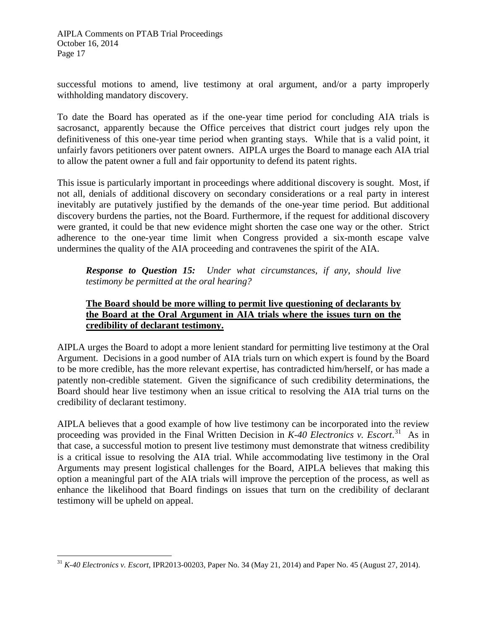successful motions to amend, live testimony at oral argument, and/or a party improperly withholding mandatory discovery.

To date the Board has operated as if the one-year time period for concluding AIA trials is sacrosanct, apparently because the Office perceives that district court judges rely upon the definitiveness of this one-year time period when granting stays. While that is a valid point, it unfairly favors petitioners over patent owners. AIPLA urges the Board to manage each AIA trial to allow the patent owner a full and fair opportunity to defend its patent rights.

This issue is particularly important in proceedings where additional discovery is sought. Most, if not all, denials of additional discovery on secondary considerations or a real party in interest inevitably are putatively justified by the demands of the one-year time period. But additional discovery burdens the parties, not the Board. Furthermore, if the request for additional discovery were granted, it could be that new evidence might shorten the case one way or the other. Strict adherence to the one-year time limit when Congress provided a six-month escape valve undermines the quality of the AIA proceeding and contravenes the spirit of the AIA.

*Response to Question 15: Under what circumstances, if any, should live testimony be permitted at the oral hearing?*

## **The Board should be more willing to permit live questioning of declarants by the Board at the Oral Argument in AIA trials where the issues turn on the credibility of declarant testimony.**

AIPLA urges the Board to adopt a more lenient standard for permitting live testimony at the Oral Argument. Decisions in a good number of AIA trials turn on which expert is found by the Board to be more credible, has the more relevant expertise, has contradicted him/herself, or has made a patently non-credible statement. Given the significance of such credibility determinations, the Board should hear live testimony when an issue critical to resolving the AIA trial turns on the credibility of declarant testimony.

AIPLA believes that a good example of how live testimony can be incorporated into the review proceeding was provided in the Final Written Decision in *K-40 Electronics v. Escort*. [31](#page-16-0) As in that case, a successful motion to present live testimony must demonstrate that witness credibility is a critical issue to resolving the AIA trial. While accommodating live testimony in the Oral Arguments may present logistical challenges for the Board, AIPLA believes that making this option a meaningful part of the AIA trials will improve the perception of the process, as well as enhance the likelihood that Board findings on issues that turn on the credibility of declarant testimony will be upheld on appeal.

<span id="page-16-0"></span><sup>31</sup> *K-40 Electronics v. Escort*, IPR2013-00203, Paper No. 34 (May 21, 2014) and Paper No. 45 (August 27, 2014).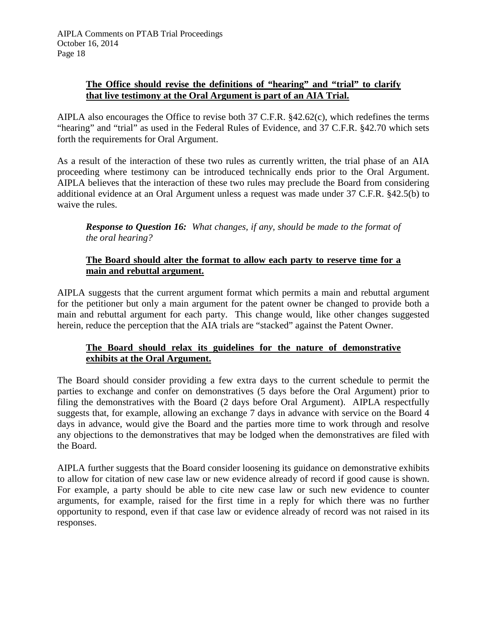# **The Office should revise the definitions of "hearing" and "trial" to clarify that live testimony at the Oral Argument is part of an AIA Trial.**

AIPLA also encourages the Office to revise both 37 C.F.R. §42.62(c), which redefines the terms "hearing" and "trial" as used in the Federal Rules of Evidence, and 37 C.F.R. §42.70 which sets forth the requirements for Oral Argument.

As a result of the interaction of these two rules as currently written, the trial phase of an AIA proceeding where testimony can be introduced technically ends prior to the Oral Argument. AIPLA believes that the interaction of these two rules may preclude the Board from considering additional evidence at an Oral Argument unless a request was made under 37 C.F.R. §42.5(b) to waive the rules.

*Response to Question 16: What changes, if any, should be made to the format of the oral hearing?*

# **The Board should alter the format to allow each party to reserve time for a main and rebuttal argument.**

AIPLA suggests that the current argument format which permits a main and rebuttal argument for the petitioner but only a main argument for the patent owner be changed to provide both a main and rebuttal argument for each party. This change would, like other changes suggested herein, reduce the perception that the AIA trials are "stacked" against the Patent Owner.

# **The Board should relax its guidelines for the nature of demonstrative exhibits at the Oral Argument.**

The Board should consider providing a few extra days to the current schedule to permit the parties to exchange and confer on demonstratives (5 days before the Oral Argument) prior to filing the demonstratives with the Board (2 days before Oral Argument). AIPLA respectfully suggests that, for example, allowing an exchange 7 days in advance with service on the Board 4 days in advance, would give the Board and the parties more time to work through and resolve any objections to the demonstratives that may be lodged when the demonstratives are filed with the Board.

AIPLA further suggests that the Board consider loosening its guidance on demonstrative exhibits to allow for citation of new case law or new evidence already of record if good cause is shown. For example, a party should be able to cite new case law or such new evidence to counter arguments, for example, raised for the first time in a reply for which there was no further opportunity to respond, even if that case law or evidence already of record was not raised in its responses.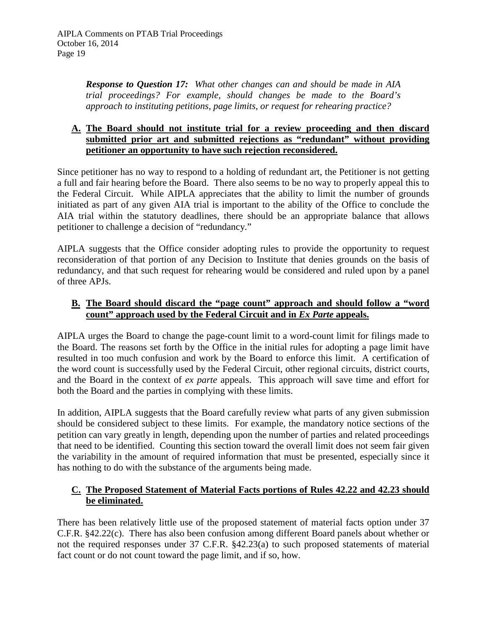*Response to Question 17: What other changes can and should be made in AIA trial proceedings? For example, should changes be made to the Board's approach to instituting petitions, page limits, or request for rehearing practice?*

## **A. The Board should not institute trial for a review proceeding and then discard submitted prior art and submitted rejections as "redundant" without providing petitioner an opportunity to have such rejection reconsidered.**

Since petitioner has no way to respond to a holding of redundant art, the Petitioner is not getting a full and fair hearing before the Board. There also seems to be no way to properly appeal this to the Federal Circuit. While AIPLA appreciates that the ability to limit the number of grounds initiated as part of any given AIA trial is important to the ability of the Office to conclude the AIA trial within the statutory deadlines, there should be an appropriate balance that allows petitioner to challenge a decision of "redundancy."

AIPLA suggests that the Office consider adopting rules to provide the opportunity to request reconsideration of that portion of any Decision to Institute that denies grounds on the basis of redundancy, and that such request for rehearing would be considered and ruled upon by a panel of three APJs.

# **B. The Board should discard the "page count" approach and should follow a "word count" approach used by the Federal Circuit and in** *Ex Parte* **appeals.**

AIPLA urges the Board to change the page-count limit to a word-count limit for filings made to the Board. The reasons set forth by the Office in the initial rules for adopting a page limit have resulted in too much confusion and work by the Board to enforce this limit. A certification of the word count is successfully used by the Federal Circuit, other regional circuits, district courts, and the Board in the context of *ex parte* appeals. This approach will save time and effort for both the Board and the parties in complying with these limits.

In addition, AIPLA suggests that the Board carefully review what parts of any given submission should be considered subject to these limits. For example, the mandatory notice sections of the petition can vary greatly in length, depending upon the number of parties and related proceedings that need to be identified. Counting this section toward the overall limit does not seem fair given the variability in the amount of required information that must be presented, especially since it has nothing to do with the substance of the arguments being made.

# **C. The Proposed Statement of Material Facts portions of Rules 42.22 and 42.23 should be eliminated.**

There has been relatively little use of the proposed statement of material facts option under 37 C.F.R. §42.22(c). There has also been confusion among different Board panels about whether or not the required responses under 37 C.F.R. §42.23(a) to such proposed statements of material fact count or do not count toward the page limit, and if so, how.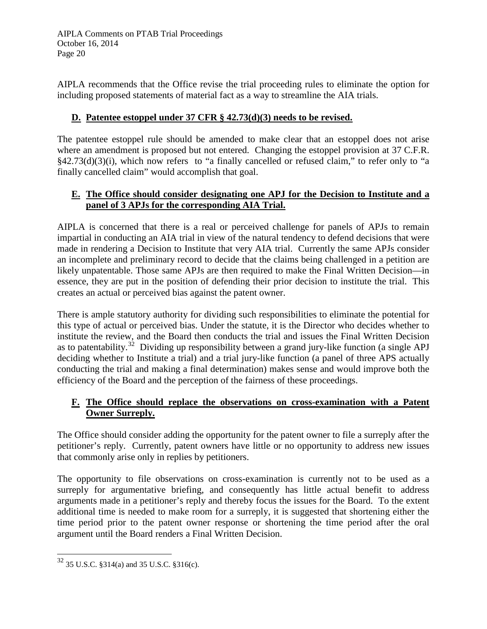AIPLA recommends that the Office revise the trial proceeding rules to eliminate the option for including proposed statements of material fact as a way to streamline the AIA trials.

# **D. Patentee estoppel under 37 CFR § 42.73(d)(3) needs to be revised.**

The patentee estoppel rule should be amended to make clear that an estoppel does not arise where an amendment is proposed but not entered. Changing the estoppel provision at 37 C.F.R. §42.73(d)(3)(i), which now refers to "a finally cancelled or refused claim," to refer only to "a finally cancelled claim" would accomplish that goal.

## **E. The Office should consider designating one APJ for the Decision to Institute and a panel of 3 APJs for the corresponding AIA Trial.**

AIPLA is concerned that there is a real or perceived challenge for panels of APJs to remain impartial in conducting an AIA trial in view of the natural tendency to defend decisions that were made in rendering a Decision to Institute that very AIA trial. Currently the same APJs consider an incomplete and preliminary record to decide that the claims being challenged in a petition are likely unpatentable. Those same APJs are then required to make the Final Written Decision—in essence, they are put in the position of defending their prior decision to institute the trial. This creates an actual or perceived bias against the patent owner.

There is ample statutory authority for dividing such responsibilities to eliminate the potential for this type of actual or perceived bias. Under the statute, it is the Director who decides whether to institute the review, and the Board then conducts the trial and issues the Final Written Decision as to patentability.<sup>[32](#page-19-0)</sup> Dividing up responsibility between a grand jury-like function (a single APJ deciding whether to Institute a trial) and a trial jury-like function (a panel of three APS actually conducting the trial and making a final determination) makes sense and would improve both the efficiency of the Board and the perception of the fairness of these proceedings.

## **F. The Office should replace the observations on cross-examination with a Patent Owner Surreply.**

The Office should consider adding the opportunity for the patent owner to file a surreply after the petitioner's reply. Currently, patent owners have little or no opportunity to address new issues that commonly arise only in replies by petitioners.

The opportunity to file observations on cross-examination is currently not to be used as a surreply for argumentative briefing, and consequently has little actual benefit to address arguments made in a petitioner's reply and thereby focus the issues for the Board. To the extent additional time is needed to make room for a surreply, it is suggested that shortening either the time period prior to the patent owner response or shortening the time period after the oral argument until the Board renders a Final Written Decision.

<span id="page-19-0"></span><sup>32</sup> 35 U.S.C. §314(a) and 35 U.S.C. §316(c).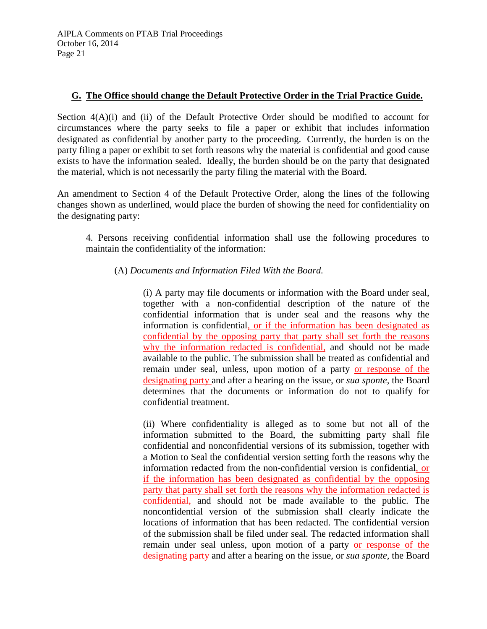## **G. The Office should change the Default Protective Order in the Trial Practice Guide.**

Section  $4(A)(i)$  and (ii) of the Default Protective Order should be modified to account for circumstances where the party seeks to file a paper or exhibit that includes information designated as confidential by another party to the proceeding. Currently, the burden is on the party filing a paper or exhibit to set forth reasons why the material is confidential and good cause exists to have the information sealed. Ideally, the burden should be on the party that designated the material, which is not necessarily the party filing the material with the Board.

An amendment to Section 4 of the Default Protective Order, along the lines of the following changes shown as underlined, would place the burden of showing the need for confidentiality on the designating party:

4. Persons receiving confidential information shall use the following procedures to maintain the confidentiality of the information:

## (A) *Documents and Information Filed With the Board.*

(i) A party may file documents or information with the Board under seal, together with a non-confidential description of the nature of the confidential information that is under seal and the reasons why the information is confidential, or if the information has been designated as confidential by the opposing party that party shall set forth the reasons why the information redacted is confidential, and should not be made available to the public. The submission shall be treated as confidential and remain under seal, unless, upon motion of a party or response of the designating party and after a hearing on the issue, or *sua sponte,* the Board determines that the documents or information do not to qualify for confidential treatment.

(ii) Where confidentiality is alleged as to some but not all of the information submitted to the Board, the submitting party shall file confidential and nonconfidential versions of its submission, together with a Motion to Seal the confidential version setting forth the reasons why the information redacted from the non-confidential version is confidential, or if the information has been designated as confidential by the opposing party that party shall set forth the reasons why the information redacted is confidential, and should not be made available to the public. The nonconfidential version of the submission shall clearly indicate the locations of information that has been redacted. The confidential version of the submission shall be filed under seal. The redacted information shall remain under seal unless, upon motion of a party or response of the designating party and after a hearing on the issue, or *sua sponte,* the Board